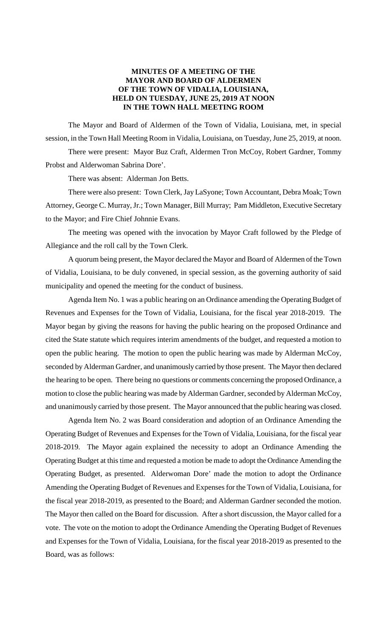# **MINUTES OF A MEETING OF THE MAYOR AND BOARD OF ALDERMEN OF THE TOWN OF VIDALIA, LOUISIANA, HELD ON TUESDAY, JUNE 25, 2019 AT NOON IN THE TOWN HALL MEETING ROOM**

The Mayor and Board of Aldermen of the Town of Vidalia, Louisiana, met, in special session, in the Town Hall Meeting Room in Vidalia, Louisiana, on Tuesday, June 25, 2019, at noon. There were present: Mayor Buz Craft, Aldermen Tron McCoy, Robert Gardner, Tommy Probst and Alderwoman Sabrina Dore'.

There was absent: Alderman Jon Betts.

There were also present: Town Clerk, Jay LaSyone; Town Accountant, Debra Moak; Town Attorney, George C. Murray, Jr.; Town Manager, Bill Murray; Pam Middleton, Executive Secretary to the Mayor; and Fire Chief Johnnie Evans.

The meeting was opened with the invocation by Mayor Craft followed by the Pledge of Allegiance and the roll call by the Town Clerk.

A quorum being present, the Mayor declared the Mayor and Board of Aldermen of the Town of Vidalia, Louisiana, to be duly convened, in special session, as the governing authority of said municipality and opened the meeting for the conduct of business.

Agenda Item No. 1 was a public hearing on an Ordinance amending the Operating Budget of Revenues and Expenses for the Town of Vidalia, Louisiana, for the fiscal year 2018-2019. The Mayor began by giving the reasons for having the public hearing on the proposed Ordinance and cited the State statute which requires interim amendments of the budget, and requested a motion to open the public hearing. The motion to open the public hearing was made by Alderman McCoy, seconded by Alderman Gardner, and unanimously carried by those present. The Mayor then declared the hearing to be open. There being no questions or comments concerning the proposed Ordinance, a motion to close the public hearing was made by Alderman Gardner, seconded by Alderman McCoy, and unanimously carried by those present. The Mayor announced that the public hearing was closed.

Agenda Item No. 2 was Board consideration and adoption of an Ordinance Amending the Operating Budget of Revenues and Expenses for the Town of Vidalia, Louisiana, for the fiscal year 2018-2019. The Mayor again explained the necessity to adopt an Ordinance Amending the Operating Budget at this time and requested a motion be made to adopt the Ordinance Amending the Operating Budget, as presented. Alderwoman Dore' made the motion to adopt the Ordinance Amending the Operating Budget of Revenues and Expenses for the Town of Vidalia, Louisiana, for the fiscal year 2018-2019, as presented to the Board; and Alderman Gardner seconded the motion. The Mayor then called on the Board for discussion. After a short discussion, the Mayor called for a vote. The vote on the motion to adopt the Ordinance Amending the Operating Budget of Revenues and Expenses for the Town of Vidalia, Louisiana, for the fiscal year 2018-2019 as presented to the Board, was as follows: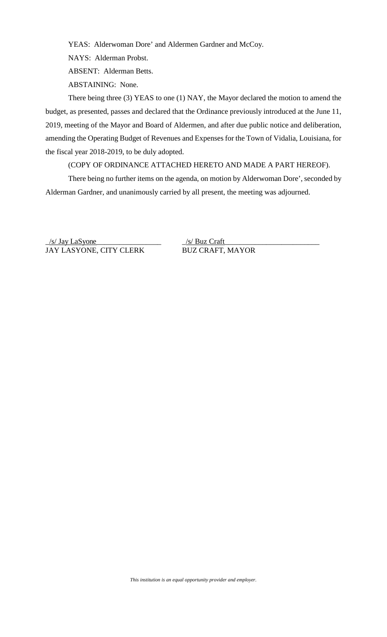YEAS: Alderwoman Dore' and Aldermen Gardner and McCoy.

NAYS: Alderman Probst.

ABSENT: Alderman Betts.

ABSTAINING: None.

There being three (3) YEAS to one (1) NAY, the Mayor declared the motion to amend the budget, as presented, passes and declared that the Ordinance previously introduced at the June 11, 2019, meeting of the Mayor and Board of Aldermen, and after due public notice and deliberation, amending the Operating Budget of Revenues and Expenses for the Town of Vidalia, Louisiana, for the fiscal year 2018-2019, to be duly adopted.

(COPY OF ORDINANCE ATTACHED HERETO AND MADE A PART HEREOF).

There being no further items on the agenda, on motion by Alderwoman Dore', seconded by Alderman Gardner, and unanimously carried by all present, the meeting was adjourned.

\_/s/ Jay LaSyone\_\_\_\_\_\_\_\_\_\_\_\_\_\_\_\_\_ \_/s/ Buz Craft JAY LASYONE, CITY CLERK

\_\_\_\_\_\_\_\_\_\_\_\_\_\_\_\_\_\_\_\_\_\_\_\_\_